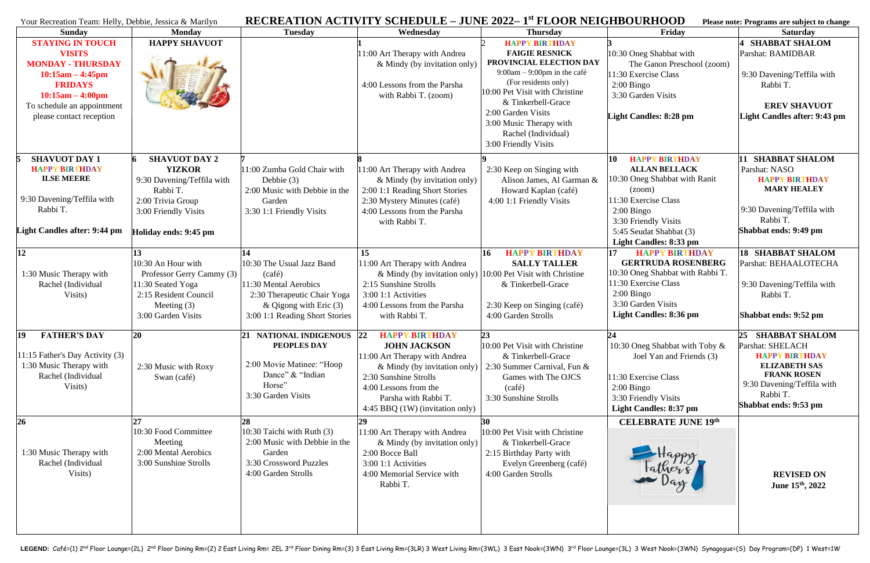## <sup>Y</sup>our Recreation Team: Helly, Debbie, Jessica & Marilyn **RECREATION ACTIVITY SCHEDULE – JUNE 2022– 1 st FLOOR NEIGHBOURHOOD Please note: Programs are subject to change**

| Tour Keeleanon Team. Henry, Deboie, Jessica & Manryn                                                                                                                                         |                                                                                                                                      | RECREATION ACTIVITY SCHEDULE                                                                                                                                    |                                                                                                                                                                                                                            | JUNE 2022 I FLOOR NERGHBOUMHOOD                                                                                                                                                                                                                                                            |                                                                                                                                                                                      | Thease note. I rogi and are subject to change                                                                                                                                             |
|----------------------------------------------------------------------------------------------------------------------------------------------------------------------------------------------|--------------------------------------------------------------------------------------------------------------------------------------|-----------------------------------------------------------------------------------------------------------------------------------------------------------------|----------------------------------------------------------------------------------------------------------------------------------------------------------------------------------------------------------------------------|--------------------------------------------------------------------------------------------------------------------------------------------------------------------------------------------------------------------------------------------------------------------------------------------|--------------------------------------------------------------------------------------------------------------------------------------------------------------------------------------|-------------------------------------------------------------------------------------------------------------------------------------------------------------------------------------------|
| <b>Sunday</b>                                                                                                                                                                                | <b>Monday</b>                                                                                                                        | <b>Tuesday</b>                                                                                                                                                  | Wednesday                                                                                                                                                                                                                  | <b>Thursday</b>                                                                                                                                                                                                                                                                            | Friday                                                                                                                                                                               | <b>Saturday</b>                                                                                                                                                                           |
| <b>STAYING IN TOUCH</b><br><b>VISITS</b><br><b>MONDAY - THURSDAY</b><br>$10:15am - 4:45pm$<br><b>FRIDAYS</b><br>$10:15am - 4:00pm$<br>To schedule an appointment<br>please contact reception | <b>HAPPY SHAVUOT</b>                                                                                                                 |                                                                                                                                                                 | 11:00 Art Therapy with Andrea<br>& Mindy (by invitation only)<br>4:00 Lessons from the Parsha<br>with Rabbi T. (zoom)                                                                                                      | <b>HAPPY BIRTHDAY</b><br><b>FAIGIE RESNICK</b><br>PROVINCIAL ELECTION DAY<br>$9:00am - 9:00pm$ in the café<br>(For residents only)<br>10:00 Pet Visit with Christine<br>& Tinkerbell-Grace<br>2:00 Garden Visits<br>3:00 Music Therapy with<br>Rachel (Individual)<br>3:00 Friendly Visits | 10:30 Oneg Shabbat with<br>The Ganon Preschool (zoom)<br>11:30 Exercise Class<br>$2:00$ Bingo<br>3:30 Garden Visits<br><b>Light Candles: 8:28 pm</b>                                 | <b>SHABBAT SHALOM</b><br>Parshat: BAMIDBAR<br>9:30 Davening/Teffila with<br>Rabbi T.<br><b>EREV SHAVUOT</b><br><b>Light Candles after: 9:43 pm</b>                                        |
| <b>SHAVUOT DAY 1</b>                                                                                                                                                                         | <b>SHAVUOT DAY 2</b>                                                                                                                 |                                                                                                                                                                 |                                                                                                                                                                                                                            |                                                                                                                                                                                                                                                                                            | 10<br><b>HAPPY BIRTHDAY</b>                                                                                                                                                          | <b>SHABBAT SHALOM</b>                                                                                                                                                                     |
| <b>HAPPY BIRTHDAY</b><br><b>ILSE MEERE</b><br>9:30 Davening/Teffila with<br>Rabbi T.                                                                                                         | <b>YIZKOR</b><br>9:30 Davening/Teffila with<br>Rabbi T.<br>2:00 Trivia Group<br>3:00 Friendly Visits                                 | 11:00 Zumba Gold Chair with<br>Debbie $(3)$<br>2:00 Music with Debbie in the<br>Garden<br>3:30 1:1 Friendly Visits                                              | 11:00 Art Therapy with Andrea<br>& Mindy (by invitation only)<br>2:00 1:1 Reading Short Stories<br>2:30 Mystery Minutes (café)<br>4:00 Lessons from the Parsha<br>with Rabbi T.                                            | 2:30 Keep on Singing with<br>Alison James, Al Garman &<br>Howard Kaplan (café)<br>4:00 1:1 Friendly Visits                                                                                                                                                                                 | <b>ALLAN BELLACK</b><br>10:30 Oneg Shabbat with Ranit<br>(200m)<br>11:30 Exercise Class<br>$2:00$ Bingo<br>3:30 Friendly Visits                                                      | Parshat: NASO<br><b>HAPPY BIRTHDAY</b><br><b>MARY HEALEY</b><br>9:30 Davening/Teffila with<br>Rabbi T.                                                                                    |
| Light Candles after: 9:44 pm                                                                                                                                                                 | Holiday ends: 9:45 pm                                                                                                                |                                                                                                                                                                 |                                                                                                                                                                                                                            |                                                                                                                                                                                                                                                                                            | 5:45 Seudat Shabbat (3)<br>Light Candles: 8:33 pm                                                                                                                                    | Shabbat ends: 9:49 pm                                                                                                                                                                     |
| 12<br>1:30 Music Therapy with<br>Rachel (Individual<br>Visits)                                                                                                                               | 10:30 An Hour with<br>Professor Gerry Cammy (3)<br>11:30 Seated Yoga<br>2:15 Resident Council<br>Meeting $(3)$<br>3:00 Garden Visits | 14<br>10:30 The Usual Jazz Band<br>(café)<br>11:30 Mental Aerobics<br>2:30 Therapeutic Chair Yoga<br>& Qigong with Eric $(3)$<br>3:00 1:1 Reading Short Stories | 15<br>11:00 Art Therapy with Andrea<br>$&$ Mindy (by invitation only)<br>2:15 Sunshine Strolls<br>3:00 1:1 Activities<br>4:00 Lessons from the Parsha<br>with Rabbi T.                                                     | <b>HAPPY BIRTHDAY</b><br><b>16</b><br><b>SALLY TALLER</b><br>10:00 Pet Visit with Christine<br>& Tinkerbell-Grace<br>2:30 Keep on Singing (café)<br>4:00 Garden Strolls                                                                                                                    | 17<br><b>HAPPY BIRTHDAY</b><br><b>GERTRUDA ROSENBERG</b><br>10:30 Oneg Shabbat with Rabbi T.<br>11:30 Exercise Class<br>$2:00$ Bingo<br>3:30 Garden Visits<br>Light Candles: 8:36 pm | <b>18 SHABBAT SHALOM</b><br>Parshat: BEHAALOTECHA<br>9:30 Davening/Teffila with<br>Rabbi T.<br>Shabbat ends: 9:52 pm                                                                      |
| <b>FATHER'S DAY</b><br>$ 19\rangle$<br>11:15 Father's Day Activity (3)<br>1:30 Music Therapy with<br>Rachel (Individual<br>Visits)                                                           | 20<br>2:30 Music with Roxy<br>Swan (café)                                                                                            | 21 NATIONAL INDIGENOUS 22<br>PEOPLES DAY<br>2:00 Movie Matinee: "Hoop<br>Dance" & "Indian<br>Horse"<br>3:30 Garden Visits                                       | <b>HAPPY BIRTHDAY</b><br><b>JOHN JACKSON</b><br>11:00 Art Therapy with Andrea<br>& Mindy (by invitation only)<br>2:30 Sunshine Strolls<br>4:00 Lessons from the<br>Parsha with Rabbi T.<br>4:45 BBQ (1W) (invitation only) | 23<br>10:00 Pet Visit with Christine<br>& Tinkerbell-Grace<br>2:30 Summer Carnival, Fun &<br>Games with The OJCS<br>(café)<br>3:30 Sunshine Strolls                                                                                                                                        | 24<br>10:30 Oneg Shabbat with Toby &<br>Joel Yan and Friends (3)<br>11:30 Exercise Class<br>$2:00$ Bingo<br>3:30 Friendly Visits<br><b>Light Candles: 8:37 pm</b>                    | <b>SHABBAT SHALOM</b><br>25<br>Parshat: SHELACH<br><b>HAPPY BIRTHDAY</b><br><b>ELIZABETH SAS</b><br><b>FRANK ROSEN</b><br>9:30 Davening/Teffila with<br>Rabbi T.<br>Shabbat ends: 9:53 pm |
| 26<br>1:30 Music Therapy with<br>Rachel (Individual<br>Visits)                                                                                                                               | 10:30 Food Committee<br>Meeting<br>2:00 Mental Aerobics<br>3:00 Sunshine Strolls                                                     | 28<br>10:30 Taichi with Ruth $(3)$<br>2:00 Music with Debbie in the<br>Garden<br>3:30 Crossword Puzzles<br>4:00 Garden Strolls                                  | 29<br>11:00 Art Therapy with Andrea<br>& Mindy (by invitation only)<br>2:00 Bocce Ball<br>3:00 1:1 Activities<br>4:00 Memorial Service with<br>Rabbi T.                                                                    | 30<br>10:00 Pet Visit with Christine<br>& Tinkerbell-Grace<br>2:15 Birthday Party with<br>Evelyn Greenberg (café)<br>4:00 Garden Strolls                                                                                                                                                   | <b>CELEBRATE JUNE 19th</b><br>Happy<br>Fathers                                                                                                                                       | <b>REVISED ON</b><br>June 15th, 2022                                                                                                                                                      |

| <b>IRHOOD</b> |  |  | Please note: Programs are subject to change |
|---------------|--|--|---------------------------------------------|
|---------------|--|--|---------------------------------------------|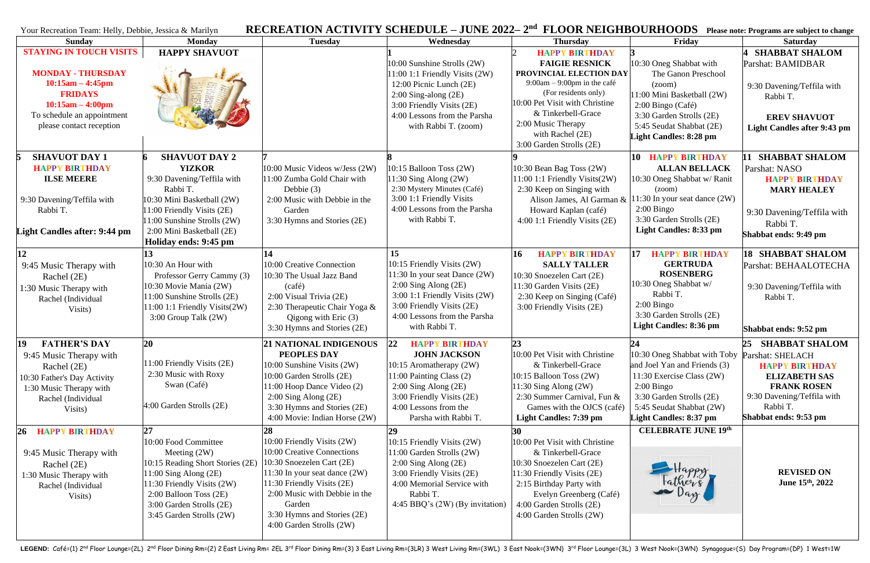| <b>RECREATION ACTIVITY SCHEDULE – JUNE 2022–2nd</b><br>FLOOR NEIGHBOURHOODS Please note: Programs are subject to change<br>Your Recreation Team: Helly, Debbie, Jessica & Marilyn  |                                                                                                                                                                                                                                  |                                                                                                                                                                                                                                                                             |                                                                                                                                                                                                              |                                                                                                                                                                                                                                                                  |                                                                                                                                                                                                        |                                                                                                                                                                                 |
|------------------------------------------------------------------------------------------------------------------------------------------------------------------------------------|----------------------------------------------------------------------------------------------------------------------------------------------------------------------------------------------------------------------------------|-----------------------------------------------------------------------------------------------------------------------------------------------------------------------------------------------------------------------------------------------------------------------------|--------------------------------------------------------------------------------------------------------------------------------------------------------------------------------------------------------------|------------------------------------------------------------------------------------------------------------------------------------------------------------------------------------------------------------------------------------------------------------------|--------------------------------------------------------------------------------------------------------------------------------------------------------------------------------------------------------|---------------------------------------------------------------------------------------------------------------------------------------------------------------------------------|
| <b>Sunday</b>                                                                                                                                                                      | <b>Monday</b>                                                                                                                                                                                                                    | <b>Tuesday</b>                                                                                                                                                                                                                                                              | Wednesday                                                                                                                                                                                                    | <b>Thursday</b>                                                                                                                                                                                                                                                  | Friday                                                                                                                                                                                                 | <b>Saturday</b>                                                                                                                                                                 |
| <b>STAYING IN TOUCH VISITS</b><br><b>MONDAY - THURSDAY</b><br>$10:15am - 4:45pm$<br><b>FRIDAYS</b><br>$10:15am - 4:00pm$<br>To schedule an appointment<br>please contact reception | <b>HAPPY SHAVUOT</b>                                                                                                                                                                                                             |                                                                                                                                                                                                                                                                             | 10:00 Sunshine Strolls (2W)<br>11:00 1:1 Friendly Visits (2W)<br>12:00 Picnic Lunch (2E)<br>$2:00$ Sing-along $(2E)$<br>3:00 Friendly Visits (2E)<br>4:00 Lessons from the Parsha<br>with Rabbi T. (zoom)    | <b>HAPPY BIRTHDAY</b><br><b>FAIGIE RESNICK</b><br>PROVINCIAL ELECTION DAY<br>$9:00am - 9:00pm$ in the café<br>(For residents only)<br>10:00 Pet Visit with Christine<br>& Tinkerbell-Grace<br>2:00 Music Therapy<br>with Rachel (2E)<br>3:00 Garden Strolls (2E) | 10:30 Oneg Shabbat with<br>The Ganon Preschool<br>(200m)<br>11:00 Mini Basketball (2W)<br>$2:00$ Bingo (Café)<br>3:30 Garden Strolls (2E)<br>5:45 Seudat Shabbat (2E)<br><b>Light Candles: 8:28 pm</b> | <b>SHABBAT SHALOM</b><br>Parshat: BAMIDBAR<br>9:30 Davening/Teffila with<br>Rabbi T.<br><b>EREV SHAVUOT</b><br>Light Candles after 9:43 pm                                      |
| <b>SHAVUOT DAY 1</b><br><b>HAPPY BIRTHDAY</b><br><b>ILSE MEERE</b><br>9:30 Davening/Teffila with<br>Rabbi T.<br><b>Light Candles after: 9:44 pm</b>                                | <b>SHAVUOT DAY 2</b><br><b>YIZKOR</b><br>9:30 Davening/Teffila with<br>Rabbi T.<br>10:30 Mini Basketball (2W)<br>11:00 Friendly Visits (2E)<br>11:00 Sunshine Strolls (2W)<br>2:00 Mini Basketball (2E)<br>Holiday ends: 9:45 pm | $10:00$ Music Videos w/Jess $(2W)$<br>11:00 Zumba Gold Chair with<br>Debbie $(3)$<br>2:00 Music with Debbie in the<br>Garden<br>3:30 Hymns and Stories (2E)                                                                                                                 | $10:15$ Balloon Toss $(2W)$<br>11:30 Sing Along $(2W)$<br>2:30 Mystery Minutes (Café)<br>3:00 1:1 Friendly Visits<br>4:00 Lessons from the Parsha<br>with Rabbi T.                                           | 10:30 Bean Bag Toss (2W)<br>11:00 1:1 Friendly Visits(2W)<br>2:30 Keep on Singing with<br>Alison James, Al Garman &<br>Howard Kaplan (café)<br>4:00 1:1 Friendly Visits (2E)                                                                                     | 10 HAPPY BIRTHDAY<br><b>ALLAN BELLACK</b><br>10:30 Oneg Shabbat w/ Ranit<br>(200m)<br>$11:30$ In your seat dance $(2W)$<br>$2:00$ Bingo<br>3:30 Garden Strolls (2E)<br>Light Candles: 8:33 pm          | 11 SHABBAT SHALOM<br>Parshat: NASO<br><b>HAPPY BIRTHDAY</b><br><b>MARY HEALEY</b><br>9:30 Davening/Teffila with<br>Rabbi T.<br>Shabbat ends: 9:49 pm                            |
| 12<br>9:45 Music Therapy with<br>Rachel (2E)<br>1:30 Music Therapy with<br>Rachel (Individual<br>Visits)                                                                           | 13<br>$10:30$ An Hour with<br>Professor Gerry Cammy (3)<br>10:30 Movie Mania (2W)<br>11:00 Sunshine Strolls (2E)<br>11:00 1:1 Friendly Visits(2W)<br>3:00 Group Talk (2W)                                                        | 10:00 Creative Connection<br>10:30 The Usual Jazz Band<br>(café)<br>2:00 Visual Trivia (2E)<br>2:30 Therapeutic Chair Yoga &<br>Qigong with Eric $(3)$<br>3:30 Hymns and Stories (2E)                                                                                       | 15<br>10:15 Friendly Visits (2W)<br>11:30 In your seat Dance (2W)<br>$2:00$ Sing Along $(2E)$<br>3:00 1:1 Friendly Visits (2W)<br>3:00 Friendly Visits (2E)<br>4:00 Lessons from the Parsha<br>with Rabbi T. | 16<br><b>HAPPY BIRTHDAY</b><br><b>SALLY TALLER</b><br>10:30 Snoezelen Cart (2E)<br>11:30 Garden Visits (2E)<br>2:30 Keep on Singing (Café)<br>3:00 Friendly Visits (2E)                                                                                          | 17<br><b>HAPPY BIRTHDAY</b><br><b>GERTRUDA</b><br><b>ROSENBERG</b><br>10:30 Oneg Shabbat w/<br>Rabbi T.<br>$2:00$ Bingo<br>3:30 Garden Strolls (2E)<br>Light Candles: 8:36 pm                          | <b>18 SHABBAT SHALOM</b><br>Parshat: BEHAALOTECHA<br>9:30 Davening/Teffila with<br>Rabbi T.<br>Shabbat ends: 9:52 pm                                                            |
| <b>FATHER'S DAY</b><br>19<br>9:45 Music Therapy with<br>Rachel (2E)<br>10:30 Father's Day Activity<br>1:30 Music Therapy with<br>Rachel (Individual<br>Visits)                     | 20<br>11:00 Friendly Visits (2E)<br>2:30 Music with Roxy<br>Swan (Café)<br>$4:00$ Garden Strolls $(2E)$                                                                                                                          | 21 NATIONAL INDIGENOUS 22 HAPPY BIRTHDAY<br>PEOPLES DAY<br>$ 10:00$ Sunshine Visits $(2W)$<br>$10:00$ Garden Strolls $(2E)$<br>11:00 Hoop Dance Video (2)<br>$2:00$ Sing Along $(2E)$<br>3:30 Hymns and Stories (2E)<br>4:00 Movie: Indian Horse (2W)                       | <b>JOHN JACKSON</b><br>10:15 Aromatherapy (2W)<br>11:00 Painting Class (2)<br>$2:00$ Sing Along $(2E)$<br>3:00 Friendly Visits (2E)<br>4:00 Lessons from the<br>Parsha with Rabbi T.                         | 23<br>10:00 Pet Visit with Christine<br>& Tinkerbell-Grace<br>10:15 Balloon Toss (2W)<br>1:30 Sing Along $(2W)$<br>2:30 Summer Carnival, Fun &<br>Games with the OJCS (café)<br>Light Candles: 7:39 pm                                                           | 10:30 Oneg Shabbat with Toby<br>and Joel Yan and Friends (3)<br>11:30 Exercise Class (2W)<br>$2:00$ Bingo<br>3:30 Garden Strolls (2E)<br>5:45 Seudat Shabbat (2W)<br><b>Light Candles: 8:37 pm</b>     | 25 SHABBAT SHALOM<br>Parshat: SHELACH<br><b>HAPPY BIRTHDAY</b><br><b>ELIZABETH SAS</b><br><b>FRANK ROSEN</b><br>9:30 Davening/Teffila with<br>Rabbi T.<br>Shabbat ends: 9:53 pm |
| <b>HAPPY BIRTHDAY</b><br><b>26</b><br>9:45 Music Therapy with<br>Rachel (2E)<br>1:30 Music Therapy with<br>Rachel (Individual<br>Visits)                                           | 27<br>10:00 Food Committee<br>Meeting $(2W)$<br>10:15 Reading Short Stories (2E)<br>$11:00$ Sing Along $(2E)$<br>11:30 Friendly Visits (2W)<br>2:00 Balloon Toss (2E)<br>3:00 Garden Strolls (2E)<br>3:45 Garden Strolls (2W)    | 28<br>10:00 Friendly Visits (2W)<br>10:00 Creative Connections<br>$10:30$ Snoezelen Cart (2E)<br>$11:30$ In your seat dance $(2W)$<br>$ 11:30$ Friendly Visits $(2E)$<br>2:00 Music with Debbie in the<br>Garden<br>3:30 Hymns and Stories (2E)<br>4:00 Garden Strolls (2W) | 29<br>10:15 Friendly Visits (2W)<br>11:00 Garden Strolls (2W)<br>$2:00$ Sing Along $(2E)$<br>3:00 Friendly Visits (2E)<br>4:00 Memorial Service with<br>Rabbi T.<br>$4:45$ BBQ's $(2W)$ (By invitation)      | 30<br>10:00 Pet Visit with Christine<br>& Tinkerbell-Grace<br>10:30 Snoezelen Cart (2E)<br>11:30 Friendly Visits (2E)<br>2:15 Birthday Party with<br>Evelyn Greenberg (Café)<br>4:00 Garden Strolls (2E)<br>4:00 Garden Strolls (2W)                             | <b>CELEBRATE JUNE 19th</b><br>Happy<br>Fathers                                                                                                                                                         | <b>REVISED ON</b><br>June 15 <sup>th</sup> , 2022                                                                                                                               |

LEGEND: Café=(1) 2nd Floor Lounge=(2L) 2nd Floor Dining Rm=(2) 2 East Living Rm= 2EL 3<sup>rd</sup> Floor Dining Rm= (3) 3 East Living Rm=(3) 3 East Living Rm=(3WL) 3 East Nook=(3WN) 3<sup>rd</sup> Floor Lounge=(3L) 3 West Nook=(3WN) Synago